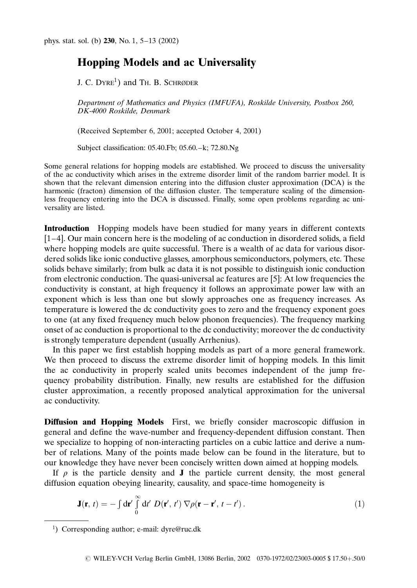## Hopping Models and ac Universality

J. C.  $DYRE<sup>1</sup>$  and Th. B. SCHRØDER

Department of Mathematics and Physics (IMFUFA), Roskilde University, Postbox 260, DK-4000 Roskilde, Denmark

(Received September 6, 2001; accepted October 4, 2001)

Subject classification: 05.40.Fb; 05.60.–k; 72.80.Ng

Some general relations for hopping models are established. We proceed to discuss the universality of the ac conductivity which arises in the extreme disorder limit of the random barrier model. It is shown that the relevant dimension entering into the diffusion cluster approximation (DCA) is the harmonic (fracton) dimension of the diffusion cluster. The temperature scaling of the dimensionless frequency entering into the DCA is discussed. Finally, some open problems regarding ac universality are listed.

Introduction Hopping models have been studied for many years in different contexts [1–4]. Our main concern here is the modeling of ac conduction in disordered solids, a field where hopping models are quite successful. There is a wealth of ac data for various disordered solids like ionic conductive glasses, amorphous semiconductors, polymers, etc. These solids behave similarly; from bulk ac data it is not possible to distinguish ionic conduction from electronic conduction. The quasi-universal ac features are [5]: At low frequencies the conductivity is constant, at high frequency it follows an approximate power law with an exponent which is less than one but slowly approaches one as frequency increases. As temperature is lowered the dc conductivity goes to zero and the frequency exponent goes to one (at any fixed frequency much below phonon frequencies). The frequency marking onset of ac conduction is proportional to the dc conductivity; moreover the dc conductivity is strongly temperature dependent (usually Arrhenius).

In this paper we first establish hopping models as part of a more general framework. We then proceed to discuss the extreme disorder limit of hopping models. In this limit the ac conductivity in properly scaled units becomes independent of the jump frequency probability distribution. Finally, new results are established for the diffusion cluster approximation, a recently proposed analytical approximation for the universal ac conductivity.

Diffusion and Hopping Models First, we briefly consider macroscopic diffusion in general and define the wave-number and frequency-dependent diffusion constant. Then we specialize to hopping of non-interacting particles on a cubic lattice and derive a number of relations. Many of the points made below can be found in the literature, but to our knowledge they have never been concisely written down aimed at hopping models.

If  $\rho$  is the particle density and **J** the particle current density, the most general diffusion equation obeying linearity, causality, and space-time homogeneity is

$$
\mathbf{J}(\mathbf{r}, t) = -\int d\mathbf{r}' \int_{0}^{\infty} d\mathbf{r}' D(\mathbf{r}', t') \nabla \rho(\mathbf{r} - \mathbf{r}', t - t'). \qquad (1)
$$

<sup>&</sup>lt;sup>1</sup>) Corresponding author; e-mail: dyre@ruc.dk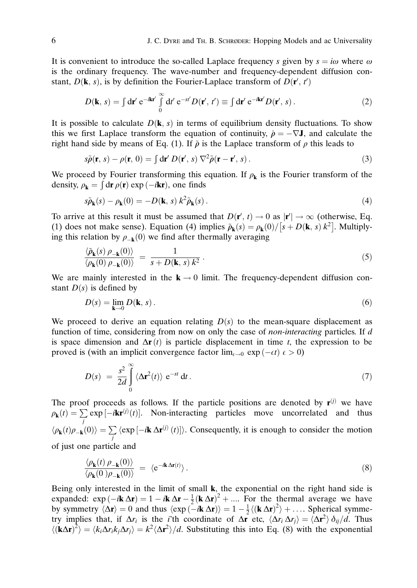It is convenient to introduce the so-called Laplace frequency s given by  $s = i\omega$  where  $\omega$ is the ordinary frequency. The wave-number and frequency-dependent diffusion constant,  $D(\mathbf{k}, s)$ , is by definition the Fourier-Laplace transform of  $D(\mathbf{r}', t')$ 

$$
D(\mathbf{k}, s) = \int d\mathbf{r}' e^{-i\mathbf{k}\mathbf{r}'} \int_{0}^{\infty} d\mathbf{r}' e^{-st'} D(\mathbf{r}', t') \equiv \int d\mathbf{r}' e^{-i\mathbf{k}\mathbf{r}'} D(\mathbf{r}', s) \,. \tag{2}
$$

It is possible to calculate  $D(\mathbf{k}, s)$  in terms of equilibrium density fluctuations. To show this we first Laplace transform the equation of continuity,  $\dot{\rho} = -\nabla J$ , and calculate the right hand side by means of Eq. (1). If  $\tilde{\rho}$  is the Laplace transform of  $\rho$  this leads to

$$
s\tilde{\rho}(\mathbf{r}, s) - \rho(\mathbf{r}, 0) = \int d\mathbf{r}' D(\mathbf{r}', s) \nabla^2 \tilde{\rho}(\mathbf{r} - \mathbf{r}', s).
$$
 (3)

We proceed by Fourier transforming this equation. If  $\rho_k$  is the Fourier transform of the density,  $\rho_{\mathbf{k}} = \int d\mathbf{r} \rho(\mathbf{r}) \exp(-i\mathbf{k}\mathbf{r})$ , one finds

$$
s\tilde{\rho}_{\mathbf{k}}(s) - \rho_{\mathbf{k}}(0) = -D(\mathbf{k}, s) k^2 \tilde{\rho}_{\mathbf{k}}(s).
$$
\n(4)

To arrive at this result it must be assumed that  $D(\mathbf{r}', t) \to 0$  as  $|\mathbf{r}'| \to \infty$  (otherwise, Eq. (1) does not make sense). Equation (4) implies  $\tilde{\rho}_k(s) = \rho_k(0)/[s + D(k, s) k^2]$ . Multiplying this relation by  $\rho_{-\mathbf{k}}(0)$  we find after thermally averaging

$$
\frac{\langle \tilde{\rho}_{\mathbf{k}}(s) \, \rho_{-\mathbf{k}}(0) \rangle}{\langle \rho_{\mathbf{k}}(0) \, \rho_{-\mathbf{k}}(0) \rangle} = \frac{1}{s + D(\mathbf{k}, s) \, k^2} \,. \tag{5}
$$

We are mainly interested in the  $k \rightarrow 0$  limit. The frequency-dependent diffusion constant  $D(s)$  is defined by

$$
D(s) = \lim_{k \to 0} D(k, s). \tag{6}
$$

We proceed to derive an equation relating  $D(s)$  to the mean-square displacement as function of time, considering from now on only the case of non-interacting particles. If d is space dimension and  $\Delta \mathbf{r}(t)$  is particle displacement in time t, the expression to be proved is (with an implicit convergence factor  $\lim_{\epsilon \to 0} \exp(-\epsilon t) \epsilon > 0$ )

$$
D(s) = \frac{s^2}{2d} \int_{0}^{\infty} \langle \Delta \mathbf{r}^2(t) \rangle e^{-st} dt.
$$
 (7)

The proof proceeds as follows. If the particle positions are denoted by  $r^{(j)}$  we have  $\rho_{\bf k}(t) = \sum_j \exp[-i{\bf k} {\bf r}^{(j)}(t)].$  Non-interacting particles move uncorrelated and thus  $\langle \rho_{\bf k}(t)\rho_{-\bf k}(0)\rangle = \sum_j \langle \exp[-i{\bf k} \Delta {\bf r}^{(j)}(t)]\rangle$ . Consequently, it is enough to consider the motion of just one particle and

$$
\frac{\langle \rho_{\mathbf{k}}(t) \, \rho_{-\mathbf{k}}(0) \rangle}{\langle \rho_{\mathbf{k}}(0) \rho_{-\mathbf{k}}(0) \rangle} \; = \; \langle e^{-i\mathbf{k}\,\Delta\mathbf{r}(t)} \rangle \, . \tag{8}
$$

Being only interested in the limit of small  $k$ , the exponential on the right hand side is expanded:  $\exp(-i\mathbf{k}\,\Delta\mathbf{r}) = 1 - i\mathbf{k}\,\Delta\mathbf{r} - \frac{1}{2}(\mathbf{k}\,\Delta\mathbf{r})^2 + \dots$  For the thermal average we have by symmetry  $\langle \Delta \mathbf{r} \rangle = 0$  and thus  $\langle \exp(-i\mathbf{k} \Delta \mathbf{r}) \rangle = 1 - \frac{1}{2} \langle (\mathbf{k} \Delta \mathbf{r})^2 \rangle + \dots$  Spherical symmetry implies that, if  $\Delta r_i$  is the *i*'th coordinate of  $\Delta \mathbf{r}$  etc,  $\langle \Delta r_i \Delta r_j \rangle = \langle \Delta \mathbf{r}^2 \rangle \delta_{ij}/d$ . Thus  $\langle (\mathbf{k} \Delta \mathbf{r})^2 \rangle = \langle k_i \Delta r_i k_j \Delta r_j \rangle = k^2 \langle \Delta \mathbf{r}^2 \rangle / d$ . Substituting this into Eq. (8) with the exponential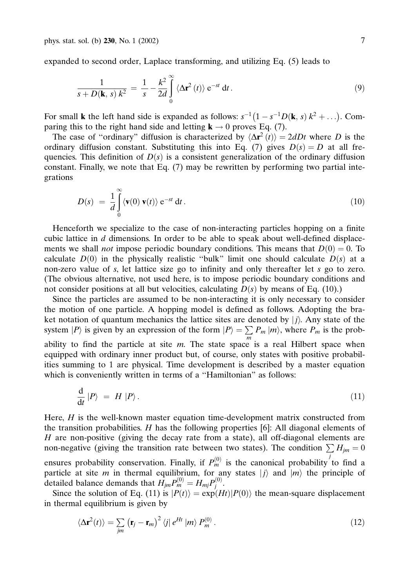phys. stat. sol. (b) 230, No. 1 (2002) 7

expanded to second order, Laplace transforming, and utilizing Eq. (5) leads to

$$
\frac{1}{s+D(\mathbf{k},s) k^2} = \frac{1}{s} - \frac{k^2}{2d} \int_{0}^{\infty} \langle \Delta \mathbf{r}^2(t) \rangle e^{-st} dt.
$$
 (9)

For small **k** the left hand side is expanded as follows:  $s^{-1}(1 - s^{-1}D(\mathbf{k}, s)k^2 + ...)$ . Comparing this to the right hand side and letting  $\mathbf{k} \to 0$  proves Eq. (7).

The case of "ordinary" diffusion is characterized by  $\langle \Delta \mathbf{r}^2(t) \rangle = 2dDt$  where D is the ordinary diffusion constant. Substituting this into Eq. (7) gives  $D(s) = D$  at all frequencies. This definition of  $D(s)$  is a consistent generalization of the ordinary diffusion constant. Finally, we note that Eq. (7) may be rewritten by performing two partial integrations

$$
D(s) = \frac{1}{d} \int_{0}^{\infty} \langle \mathbf{v}(0) \, \mathbf{v}(t) \rangle \, e^{-st} \, dt \,. \tag{10}
$$

Henceforth we specialize to the case of non-interacting particles hopping on a finite cubic lattice in  $d$  dimensions. In order to be able to speak about well-defined displacements we shall *not* impose periodic boundary conditions. This means that  $D(0) = 0$ . To calculate  $D(0)$  in the physically realistic "bulk" limit one should calculate  $D(s)$  at a non-zero value of s, let lattice size go to infinity and only thereafter let s go to zero. (The obvious alternative, not used here, is to impose periodic boundary conditions and not consider positions at all but velocities, calculating  $D(s)$  by means of Eq. (10).)

Since the particles are assumed to be non-interacting it is only necessary to consider the motion of one particle. A hopping model is defined as follows. Adopting the braket notation of quantum mechanics the lattice sites are denoted by  $|j\rangle$ . Any state of the system  $|P\rangle$  is given by an expression of the form  $|P\rangle = \sum_{m} P_m |m\rangle$ , where  $P_m$  is the probability to find the particle at site  $m$ . The state space is a real Hilbert space when equipped with ordinary inner product but, of course, only states with positive probabilities summing to 1 are physical. Time development is described by a master equation which is conveniently written in terms of a "Hamiltonian" as follows:

$$
\frac{\mathrm{d}}{\mathrm{d}t}\left|P\right\rangle = H\left|P\right\rangle. \tag{11}
$$

Here,  $H$  is the well-known master equation time-development matrix constructed from the transition probabilities.  $H$  has the following properties [6]: All diagonal elements of H are non-positive (giving the decay rate from a state), all off-diagonal elements are non-negative (giving the transition rate between two states). The condition  $\sum H_{jm} = 0$ ensures probability conservation. Finally, if  $P_m^{(0)}$  is the canonical probability to find a particle at site m in thermal equilibrium, for any states  $|j\rangle$  and  $|m\rangle$  the principle of detailed balance demands that  $\hat{H}_{jm}P_{m}^{(0)}=H_{mj}P_{j}^{(0)}$ .

Since the solution of Eq. (11) is  $|P(t)\rangle = \exp(Ht)|P(0)\rangle$  the mean-square displacement in thermal equilibrium is given by

$$
\langle \Delta \mathbf{r}^2(t) \rangle = \sum_{jm} \left( \mathbf{r}_j - \mathbf{r}_m \right)^2 \langle j | e^{Ht} | m \rangle P_m^{(0)} \,. \tag{12}
$$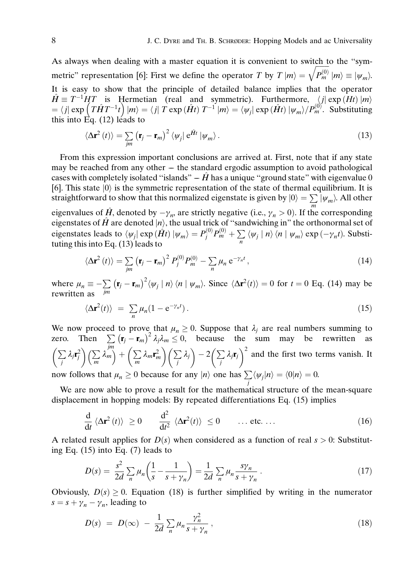As always when dealing with a master equation it is convenient to switch to the "symmetric" representation [6]: First we define the operator T by  $T | m \rangle = \sqrt{P_m^{(0)}} | m \rangle \equiv |\psi_m \rangle$ . It is easy to show that the principle of detailed balance implies that the operator  $\hat{H} \equiv T^{-1}HT$  is Hermetian (real and symmetric). Furthermore,  $\langle j | \exp (Ht) | m \rangle$  $H \equiv I^{-1}H I$  is Hermetian (real and symmetric). Furthermore,  $\langle J | \exp(HI) | m \rangle$ <br>=  $\langle J | \exp(T\hat{H}T^{-1}t) | m \rangle = \langle J | T \exp(\hat{H}t) T^{-1} | m \rangle = \langle \psi_j | \exp(\hat{H}t) | \psi_m \rangle / P_m^{(0)}$ . Substituting this into Eq.  $(12)$  leads to

$$
\langle \Delta \mathbf{r}^2 (t) \rangle = \sum_{jm} \left( \mathbf{r}_j - \mathbf{r}_m \right)^2 \langle \psi_j | e^{\hat{H}t} | \psi_m \rangle. \tag{13}
$$

From this expression important conclusions are arrived at. First, note that if any state may be reached from any other –– the standard ergodic assumption to avoid pathological cases with completely isolated "islands" –  $\hat{H}$  has a unique "ground state" with eigenvalue 0 [6]. This state  $|0\rangle$  is the symmetric representation of the state of thermal equilibrium. It is straightforward to show that this normalized eigenstate is given by  $|0\rangle = \sum |\psi_m\rangle$ . All other eigenvalues of  $\hat{H}$ , denoted by  $-\gamma_n$ , are strictly negative (i.e.,  $\gamma_n > 0$ ). If the corresponding

eigenstates of  $\hat{H}$  are denoted  $|n\rangle$ , the usual trick of "sandwiching in" the orthonormal set of eigenstates leads to  $\langle \psi_j | \exp(\hat{H}t) | \psi_m \rangle = P_j^{(0)} P_m^{(0)} + \sum_n \langle \psi_j | n \rangle \langle n | \psi_m \rangle \exp(-\gamma_n t)$ . Substituting this into Eq. (13) leads to tuting this into Eq. (13) leads to

$$
\langle \Delta \mathbf{r}^2(t) \rangle = \sum_{jm} \left( \mathbf{r}_j - \mathbf{r}_m \right)^2 P_j^{(0)} P_m^{(0)} - \sum_n \mu_n e^{-\gamma_n t} \,, \tag{14}
$$

where  $\mu_n \equiv -\sum_{jm} (\mathbf{r}_j - \mathbf{r}_m)^2 \langle \psi_j | n \rangle \langle n | \psi_m \rangle$ . Since  $\langle \Delta \mathbf{r}^2(t) \rangle = 0$  for  $t = 0$  Eq. (14) may be rewritten as rewritten as

$$
\langle \Delta \mathbf{r}^2(t) \rangle = \sum_n \mu_n (1 - e^{-\gamma_n t}). \tag{15}
$$

We now proceed to prove that  $\mu_n \ge 0$ . Suppose that  $\lambda_j$  are real numbers summing to zero. Then  $\sum_{jm} (\mathbf{r}_j - \mathbf{r}_m)^2 \lambda_j \lambda_m \le 0$ , because the sum may be rewritten as  $\overline{ }$  $\left(\sum_{j} \lambda_j \mathbf{r}_j^2\right) \left(\sum_{m}$  $\left(\sum_{m}\lambda_{m}^{m}\right)+\left(\sum_{m}\lambda_{m}\mathbf{r}_{m}^{2}\right)\left(\sum_{i}\right)$  $\left(\sum_{j} \lambda_j\right) - 2\left(\sum_{j} \lambda_j \mathbf{r}_j\right)^2$  and the first two terms vanish. It now follows that  $\mu_n \ge 0$  because for any  $|n\rangle$  one has  $\sum_j \langle \psi_j | n \rangle = \langle 0 | n \rangle = 0$ .

We are now able to prove a result for the mathematical structure of the mean-square displacement in hopping models: By repeated differentiations Eq. (15) implies

$$
\frac{\mathrm{d}}{\mathrm{d}t} \left\langle \Delta \mathbf{r}^2 \left( t \right) \right\rangle \ge 0 \qquad \frac{\mathrm{d}^2}{\mathrm{d}t^2} \left\langle \Delta \mathbf{r}^2 \left( t \right) \right\rangle \le 0 \qquad \dots \text{ etc.} \dots \tag{16}
$$

A related result applies for  $D(s)$  when considered as a function of real  $s > 0$ : Substituting Eq. (15) into Eq. (7) leads to

$$
D(s) = \frac{s^2}{2d} \sum_{n} \mu_n \left(\frac{1}{s} - \frac{1}{s + \gamma_n}\right) = \frac{1}{2d} \sum_{n} \mu_n \frac{s\gamma_n}{s + \gamma_n} \,. \tag{17}
$$

Obviously,  $D(s) > 0$ . Equation (18) is further simplified by writing in the numerator  $s = s + \gamma_n - \gamma_n$ , leading to

$$
D(s) = D(\infty) - \frac{1}{2d} \sum_{n} \mu_n \frac{\gamma_n^2}{s + \gamma_n},
$$
\n(18)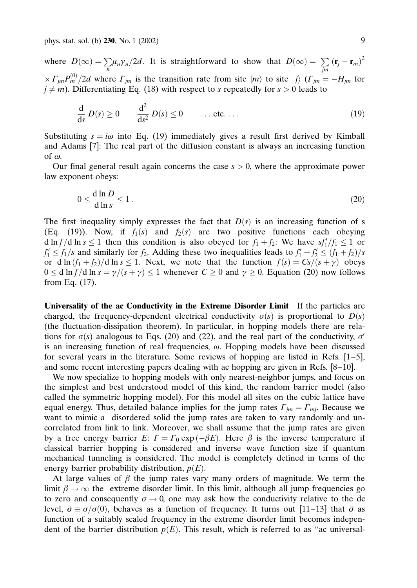phys. stat. sol. (b) 230, No. 1 (2002) 9

where  $D(\infty) = \sum_{n} \mu_n \gamma_n / 2d$ . It is straightforward to show that  $D(\infty) = \sum_{jm} (\mathbf{r}_j - \mathbf{r}_m)^2$  $\sqrt{F_m}P_m^{(0)}/2d$  where  $\Gamma_{jm}$  is the transition rate from site  $|m\rangle$  to site  $|j\rangle$  ( $\Gamma_{jm} = -H_{jm}$  for  $j \neq m$ ). Differentiating Eq. (18) with respect to s repeatedly for  $s > 0$  leads to

$$
\frac{\mathrm{d}}{\mathrm{d}s} D(s) \ge 0 \qquad \frac{\mathrm{d}^2}{\mathrm{d}s^2} D(s) \le 0 \qquad \dots \text{ etc.} \dots \tag{19}
$$

Substituting  $s = i\omega$  into Eq. (19) immediately gives a result first derived by Kimball and Adams [7]: The real part of the diffusion constant is always an increasing function of  $\omega$ .

Our final general result again concerns the case  $s > 0$ , where the approximate power law exponent obeys:

$$
0 \le \frac{\text{d} \ln D}{\text{d} \ln s} \le 1. \tag{20}
$$

The first inequality simply expresses the fact that  $D(s)$  is an increasing function of s (Eq. (19)). Now, if  $f_1(s)$  and  $f_2(s)$  are two positive functions each obeying d ln  $f/d \ln s \le 1$  then this condition is also obeyed for  $f_1 + f_2$ : We have  $s f_1'/f_1 \le 1$  or  $f_1' \le f_1/s$  and similarly for  $f_2$ . Adding these two inequalities leads to  $f_1' + f_2' \le (f_1 + f_2)/s$ or d ln  $(f_1 + f_2)/d$  ln  $s \le 1$ . Next, we note that the function  $f(s) = Cs/(s+\gamma)$  obeys  $0 \le d \ln f / d \ln s = \gamma / (s + \gamma) \le 1$  whenever  $C \ge 0$  and  $\gamma \ge 0$ . Equation (20) now follows from Eq. (17).

Universality of the ac Conductivity in the Extreme Disorder Limit If the particles are charged, the frequency-dependent electrical conductivity  $\sigma(s)$  is proportional to  $D(s)$ (the fluctuation-dissipation theorem). In particular, in hopping models there are relations for  $\sigma(s)$  analogous to Eqs. (20) and (22), and the real part of the conductivity,  $\sigma'$ is an increasing function of real frequencies,  $\omega$ . Hopping models have been discussed for several years in the literature. Some reviews of hopping are listed in Refs.  $[1-5]$ , and some recent interesting papers dealing with ac hopping are given in Refs. [8–10].

We now specialize to hopping models with only nearest-neighbor jumps, and focus on the simplest and best understood model of this kind, the random barrier model (also called the symmetric hopping model). For this model all sites on the cubic lattice have equal energy. Thus, detailed balance implies for the jump rates  $\Gamma_{im} = \Gamma_{mi}$ . Because we want to mimic a disordered solid the jump rates are taken to vary randomly and uncorrelated from link to link. Moreover, we shall assume that the jump rates are given by a free energy barrier E:  $\Gamma = \Gamma_0 \exp(-\beta E)$ . Here  $\beta$  is the inverse temperature if classical barrier hopping is considered and inverse wave function size if quantum mechanical tunneling is considered. The model is completely defined in terms of the energy barrier probability distribution,  $p(E)$ .

At large values of  $\beta$  the jump rates vary many orders of magnitude. We term the limit  $\beta \to \infty$  the extreme disorder limit. In this limit, although all jump frequencies go to zero and consequently  $\sigma \to 0$ , one may ask how the conductivity relative to the dc level,  $\tilde{\sigma} \equiv \sigma/\sigma(0)$ , behaves as a function of frequency. It turns out [11–13] that  $\tilde{\sigma}$  as function of a suitably scaled frequency in the extreme disorder limit becomes independent of the barrier distribution  $p(E)$ . This result, which is referred to as "ac universal-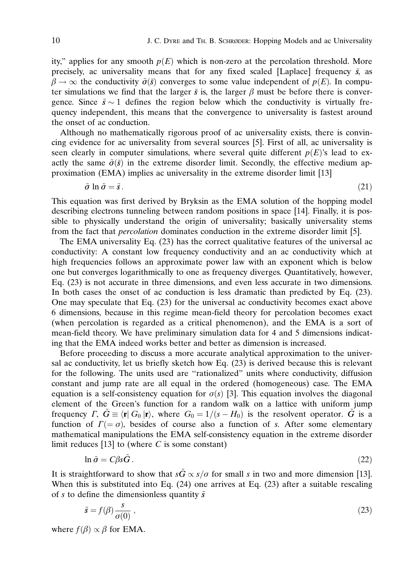ity," applies for any smooth  $p(E)$  which is non-zero at the percolation threshold. More precisely, ac universality means that for any fixed scaled [Laplace] frequency  $\tilde{s}$ , as  $\beta \rightarrow \infty$  the conductivity  $\tilde{\sigma}(\tilde{s})$  converges to some value independent of  $p(E)$ . In computer simulations we find that the larger  $\tilde{s}$  is, the larger  $\beta$  must be before there is convergence. Since  $\tilde{s} \sim 1$  defines the region below which the conductivity is virtually frequency independent, this means that the convergence to universality is fastest around the onset of ac conduction.

Although no mathematically rigorous proof of ac universality exists, there is convincing evidence for ac universality from several sources [5]. First of all, ac universality is seen clearly in computer simulations, where several quite different  $p(E)$ 's lead to exactly the same  $\tilde{\sigma}(\tilde{s})$  in the extreme disorder limit. Secondly, the effective medium approximation (EMA) implies ac universality in the extreme disorder limit [13]

$$
\tilde{\sigma} \ln \tilde{\sigma} = \tilde{s} \,. \tag{21}
$$

This equation was first derived by Bryksin as the EMA solution of the hopping model describing electrons tunneling between random positions in space [14]. Finally, it is possible to physically understand the origin of universality; basically universality stems from the fact that *percolation* dominates conduction in the extreme disorder limit [5].

The EMA universality Eq. (23) has the correct qualitative features of the universal ac conductivity: A constant low frequency conductivity and an ac conductivity which at high frequencies follows an approximate power law with an exponent which is below one but converges logarithmically to one as frequency diverges. Quantitatively, however, Eq. (23) is not accurate in three dimensions, and even less accurate in two dimensions. In both cases the onset of ac conduction is less dramatic than predicted by Eq. (23). One may speculate that Eq. (23) for the universal ac conductivity becomes exact above 6 dimensions, because in this regime mean-field theory for percolation becomes exact (when percolation is regarded as a critical phenomenon), and the EMA is a sort of mean-field theory. We have preliminary simulation data for 4 and 5 dimensions indicating that the EMA indeed works better and better as dimension is increased.

Before proceeding to discuss a more accurate analytical approximation to the universal ac conductivity, let us briefly sketch how Eq. (23) is derived because this is relevant for the following. The units used are ''rationalized" units where conductivity, diffusion constant and jump rate are all equal in the ordered (homogeneous) case. The EMA equation is a self-consistency equation for  $\sigma(s)$  [3]. This equation involves the diagonal element of the Green's function for a random walk on a lattice with uniform jump frequency  $\Gamma$ ,  $\tilde{G} \equiv \langle r | G_0 | r \rangle$ , where  $G_0 = 1/(s - H_0)$  is the resolvent operator.  $\tilde{G}$  is a function of  $\Gamma (= \sigma)$ , besides of course also a function of s. After some elementary mathematical manipulations the EMA self-consistency equation in the extreme disorder limit reduces [13] to (where  $C$  is some constant)

$$
\ln \tilde{\sigma} = C\beta s \tilde{G} \,. \tag{22}
$$

It is straightforward to show that  $s\tilde{G} \propto s/\sigma$  for small s in two and more dimension [13]. When this is substituted into Eq.  $(24)$  one arrives at Eq.  $(23)$  after a suitable rescaling of s to define the dimensionless quantity  $\tilde{s}$ 

$$
\tilde{s} = f(\beta) \frac{s}{\sigma(0)} \,,\tag{23}
$$

where  $f(\beta) \propto \beta$  for EMA.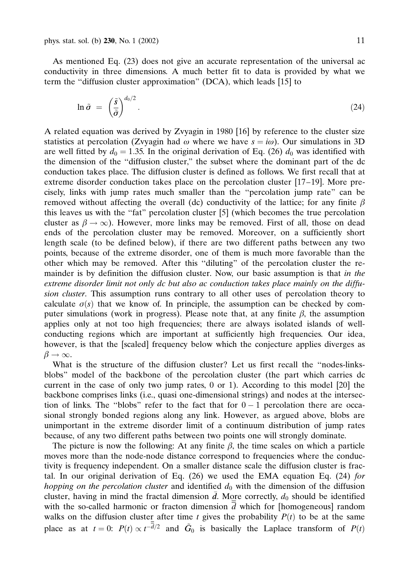phys. stat. sol. (b) 230, No. 1 (2002) 11

As mentioned Eq. (23) does not give an accurate representation of the universal ac conductivity in three dimensions. A much better fit to data is provided by what we term the ''diffusion cluster approximation" (DCA), which leads [15] to

$$
\ln \tilde{\sigma} = \left(\frac{\tilde{s}}{\tilde{\sigma}}\right)^{d_0/2}.\tag{24}
$$

A related equation was derived by Zvyagin in 1980 [16] by reference to the cluster size statistics at percolation (Zvyagin had  $\omega$  where we have  $s = i\omega$ ). Our simulations in 3D are well fitted by  $d_0 = 1.35$ . In the original derivation of Eq. (26)  $d_0$  was identified with the dimension of the ''diffusion cluster," the subset where the dominant part of the dc conduction takes place. The diffusion cluster is defined as follows. We first recall that at extreme disorder conduction takes place on the percolation cluster [17–19]. More precisely, links with jump rates much smaller than the ''percolation jump rate" can be removed without affecting the overall (dc) conductivity of the lattice; for any finite  $\beta$ this leaves us with the ''fat" percolation cluster [5] (which becomes the true percolation cluster as  $\beta \to \infty$ ). However, more links may be removed. First of all, those on dead ends of the percolation cluster may be removed. Moreover, on a sufficiently short length scale (to be defined below), if there are two different paths between any two points, because of the extreme disorder, one of them is much more favorable than the other which may be removed. After this ''diluting" of the percolation cluster the remainder is by definition the diffusion cluster. Now, our basic assumption is that in the extreme disorder limit not only dc but also ac conduction takes place mainly on the diffusion cluster. This assumption runs contrary to all other uses of percolation theory to calculate  $\sigma(s)$  that we know of. In principle, the assumption can be checked by computer simulations (work in progress). Please note that, at any finite  $\beta$ , the assumption applies only at not too high frequencies; there are always isolated islands of wellconducting regions which are important at sufficiently high frequencies. Our idea, however, is that the [scaled] frequency below which the conjecture applies diverges as  $\beta \rightarrow \infty$ .

What is the structure of the diffusion cluster? Let us first recall the "nodes-linksblobs" model of the backbone of the percolation cluster (the part which carries dc current in the case of only two jump rates, 0 or 1). According to this model [20] the backbone comprises links (i.e., quasi one-dimensional strings) and nodes at the intersection of links. The "blobs" refer to the fact that for  $0 - 1$  percolation there are occasional strongly bonded regions along any link. However, as argued above, blobs are unimportant in the extreme disorder limit of a continuum distribution of jump rates because, of any two different paths between two points one will strongly dominate.

The picture is now the following: At any finite  $\beta$ , the time scales on which a particle moves more than the node-node distance correspond to frequencies where the conductivity is frequency independent. On a smaller distance scale the diffusion cluster is fractal. In our original derivation of Eq.  $(26)$  we used the EMA equation Eq.  $(24)$  for hopping on the percolation cluster and identified  $d_0$  with the dimension of the diffusion cluster, having in mind the fractal dimension  $\bar{d}$ . More correctly,  $d_0$  should be identified with the so-called harmonic or fracton dimension  $\overline{d}$  which for [homogeneous] random walks on the diffusion cluster after time t gives the probability  $P(t)$  to be at the same place as at  $t = 0$ :  $P(t) \propto t^{-\overline{d}/2}$  and  $\tilde{G}_0$  is basically the Laplace transform of  $P(t)$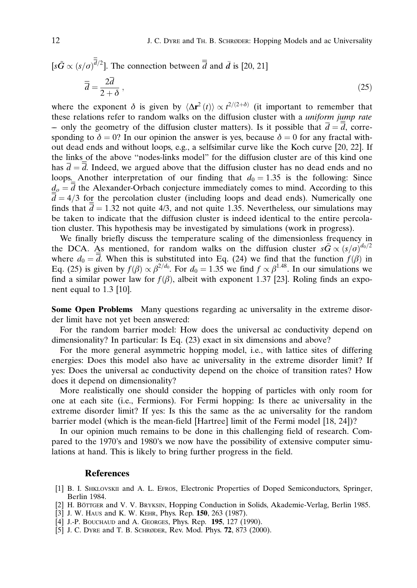$$
[s\tilde{G} \propto (s/\sigma)^{\overline{\overline{d}}/2}].
$$
 The connection between  $\overline{\overline{d}}$  and  $\overline{d}$  is [20, 21]

$$
\overline{\overline{d}} = \frac{2d}{2+\delta},\tag{25}
$$

where the exponent  $\delta$  is given by  $\langle \Delta \mathbf{r}^2(t) \rangle \propto t^{2/(2+\delta)}$  (it important to remember that these relations refer to random walks on the diffusion cluster with a *uniform jump rate* – only the geometry of the diffusion cluster matters). Is it possible that  $\overline{d} = \overline{d}$ , corresponding to  $\delta = 0$ ? In our opinion the answer is yes, because  $\delta = 0$  for any fractal without dead ends and without loops, e.g., a selfsimilar curve like the Koch curve [20, 22]. If the links of the above ''nodes-links model" for the diffusion cluster are of this kind one has  $d = d$ . Indeed, we argued above that the diffusion cluster has no dead ends and no loops. Another interpretation of our finding that  $d_0 = 1.35$  is the following: Since  $d_{\rho} = \overline{d}$  the Alexander-Orbach conjecture immediately comes to mind. According to this  $\overline{\overline{d}} = 4/3$  for the percolation cluster (including loops and dead ends). Numerically one finds that  $\overline{d} = 1.32$  not quite 4/3, and not quite 1.35. Nevertheless, our simulations may be taken to indicate that the diffusion cluster is indeed identical to the entire percolation cluster. This hypothesis may be investigated by simulations (work in progress).

We finally briefly discuss the temperature scaling of the dimensionless frequency in the DCA. As mentioned, for random walks on the diffusion cluster  $s\tilde{G} \propto (s/\sigma)^{d_0/2}$ where  $d_0 = \overline{d}$ . When this is substituted into Eq. (24) we find that the function  $f(\beta)$  in Eq. (25) is given by  $f(\beta) \propto \beta^{2/d_0}$ . For  $d_0 = 1.35$  we find  $f \propto \beta^{1.48}$ . In our simulations we find a similar power law for  $f(\beta)$ , albeit with exponent 1.37 [23]. Roling finds an exponent equal to  $1.3$  [10].

Some Open Problems Many questions regarding ac universality in the extreme disorder limit have not yet been answered:

For the random barrier model: How does the universal ac conductivity depend on dimensionality? In particular: Is Eq. (23) exact in six dimensions and above?

For the more general asymmetric hopping model, i.e., with lattice sites of differing energies: Does this model also have ac universality in the extreme disorder limit? If yes: Does the universal ac conductivity depend on the choice of transition rates? How does it depend on dimensionality?

More realistically one should consider the hopping of particles with only room for one at each site (i.e., Fermions). For Fermi hopping: Is there ac universality in the extreme disorder limit? If yes: Is this the same as the ac universality for the random barrier model (which is the mean-field [Hartree] limit of the Fermi model [18, 24])?

In our opinion much remains to be done in this challenging field of research. Compared to the 1970's and 1980's we now have the possibility of extensive computer simulations at hand. This is likely to bring further progress in the field.

## **References**

- [1] B. I. SHKLOVSKII and A. L. EFROS, Electronic Properties of Doped Semiconductors, Springer, Berlin 1984.
- [2] H. Börrger and V. V. Bryksin, Hopping Conduction in Solids, Akademie-Verlag, Berlin 1985.
- [3] J. W. HAUS and K. W. KEHR, Phys. Rep. 150, 263 (1987).
- [4] J.-P. BOUCHAUD and A. GEORGES, Phys. Rep. 195, 127 (1990).
- [5] J. C. Dyre and T. B. Schrøder, Rev. Mod. Phys. 72, 873 (2000).